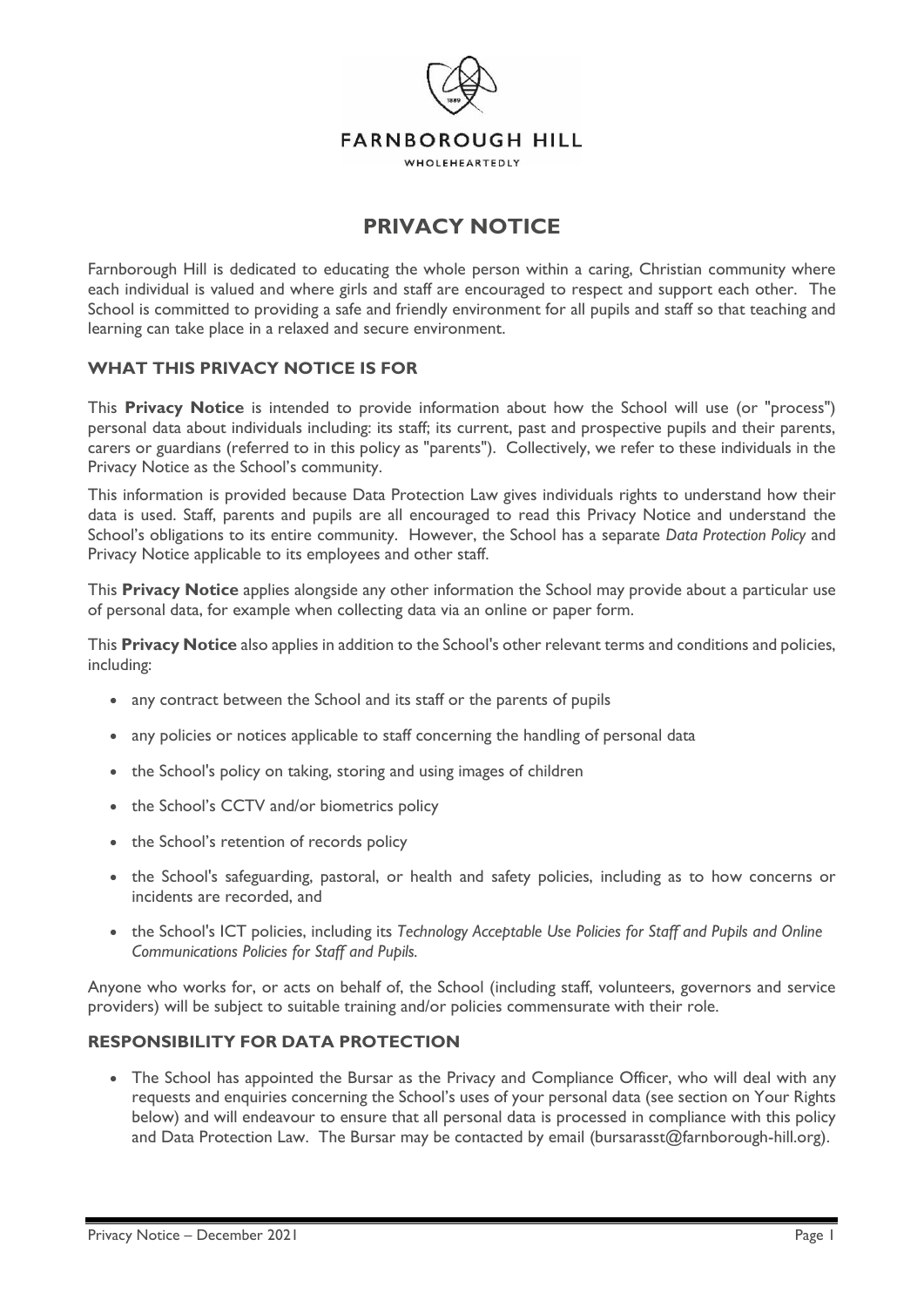

# **PRIVACY NOTICE**

Farnborough Hill is dedicated to educating the whole person within a caring, Christian community where each individual is valued and where girls and staff are encouraged to respect and support each other. The School is committed to providing a safe and friendly environment for all pupils and staff so that teaching and learning can take place in a relaxed and secure environment.

### **WHAT THIS PRIVACY NOTICE IS FOR**

This **Privacy Notice** is intended to provide information about how the School will use (or "process") personal data about individuals including: its staff; its current, past and prospective pupils and their parents, carers or guardians (referred to in this policy as "parents"). Collectively, we refer to these individuals in the Privacy Notice as the School's community.

This information is provided because Data Protection Law gives individuals rights to understand how their data is used. Staff, parents and pupils are all encouraged to read this Privacy Notice and understand the School's obligations to its entire community. However, the School has a separate *Data Protection Policy* and Privacy Notice applicable to its employees and other staff.

This **Privacy Notice** applies alongside any other information the School may provide about a particular use of personal data, for example when collecting data via an online or paper form.

This **Privacy Notice** also applies in addition to the School's other relevant terms and conditions and policies, including:

- any contract between the School and its staff or the parents of pupils
- any policies or notices applicable to staff concerning the handling of personal data
- the School's policy on taking, storing and using images of children
- the School's CCTV and/or biometrics policy
- the School's retention of records policy
- the School's safeguarding, pastoral, or health and safety policies, including as to how concerns or incidents are recorded, and
- the School's ICT policies, including its *Technology Acceptable Use Policies for Staff and Pupils and Online Communications Policies for Staff and Pupils.*

Anyone who works for, or acts on behalf of, the School (including staff, volunteers, governors and service providers) will be subject to suitable training and/or policies commensurate with their role.

### **RESPONSIBILITY FOR DATA PROTECTION**

• The School has appointed the Bursar as the Privacy and Compliance Officer, who will deal with any requests and enquiries concerning the School's uses of your personal data (see section on Your Rights below) and will endeavour to ensure that all personal data is processed in compliance with this policy and Data Protection Law. The Bursar may be contacted by email (bursarasst@farnborough-hill.org).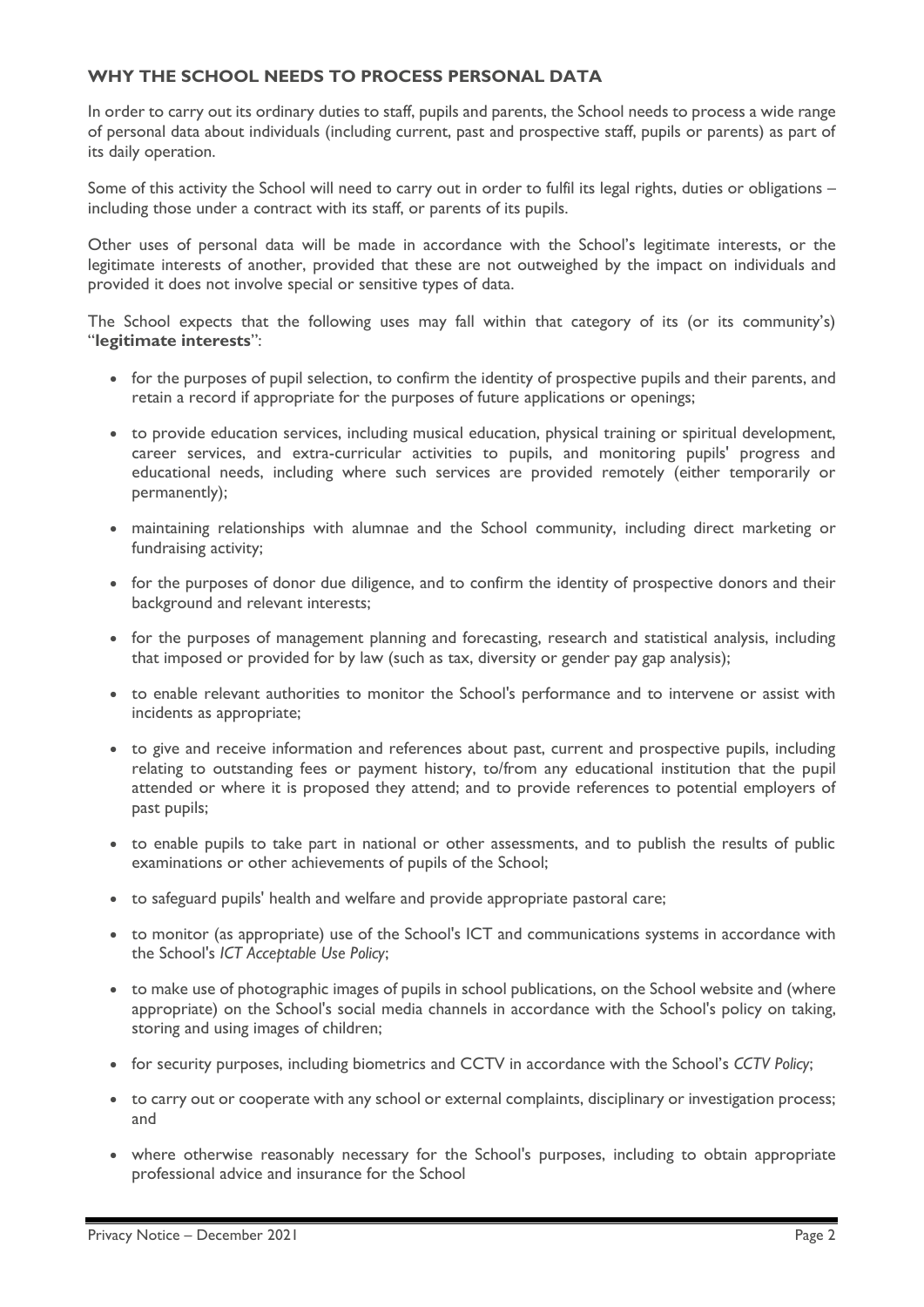## **WHY THE SCHOOL NEEDS TO PROCESS PERSONAL DATA**

In order to carry out its ordinary duties to staff, pupils and parents, the School needs to process a wide range of personal data about individuals (including current, past and prospective staff, pupils or parents) as part of its daily operation.

Some of this activity the School will need to carry out in order to fulfil its legal rights, duties or obligations – including those under a contract with its staff, or parents of its pupils.

Other uses of personal data will be made in accordance with the School's legitimate interests, or the legitimate interests of another, provided that these are not outweighed by the impact on individuals and provided it does not involve special or sensitive types of data.

The School expects that the following uses may fall within that category of its (or its community's) "**legitimate interests**":

- for the purposes of pupil selection, to confirm the identity of prospective pupils and their parents, and retain a record if appropriate for the purposes of future applications or openings;
- to provide education services, including musical education, physical training or spiritual development, career services, and extra-curricular activities to pupils, and monitoring pupils' progress and educational needs, including where such services are provided remotely (either temporarily or permanently);
- maintaining relationships with alumnae and the School community, including direct marketing or fundraising activity;
- for the purposes of donor due diligence, and to confirm the identity of prospective donors and their background and relevant interests;
- for the purposes of management planning and forecasting, research and statistical analysis, including that imposed or provided for by law (such as tax, diversity or gender pay gap analysis);
- to enable relevant authorities to monitor the School's performance and to intervene or assist with incidents as appropriate;
- to give and receive information and references about past, current and prospective pupils, including relating to outstanding fees or payment history, to/from any educational institution that the pupil attended or where it is proposed they attend; and to provide references to potential employers of past pupils;
- to enable pupils to take part in national or other assessments, and to publish the results of public examinations or other achievements of pupils of the School;
- to safeguard pupils' health and welfare and provide appropriate pastoral care;
- to monitor (as appropriate) use of the School's ICT and communications systems in accordance with the School's *ICT Acceptable Use Policy*;
- to make use of photographic images of pupils in school publications, on the School website and (where appropriate) on the School's social media channels in accordance with the School's policy on taking, storing and using images of children;
- for security purposes, including biometrics and CCTV in accordance with the School's *CCTV Policy*;
- to carry out or cooperate with any school or external complaints, disciplinary or investigation process; and
- where otherwise reasonably necessary for the School's purposes, including to obtain appropriate professional advice and insurance for the School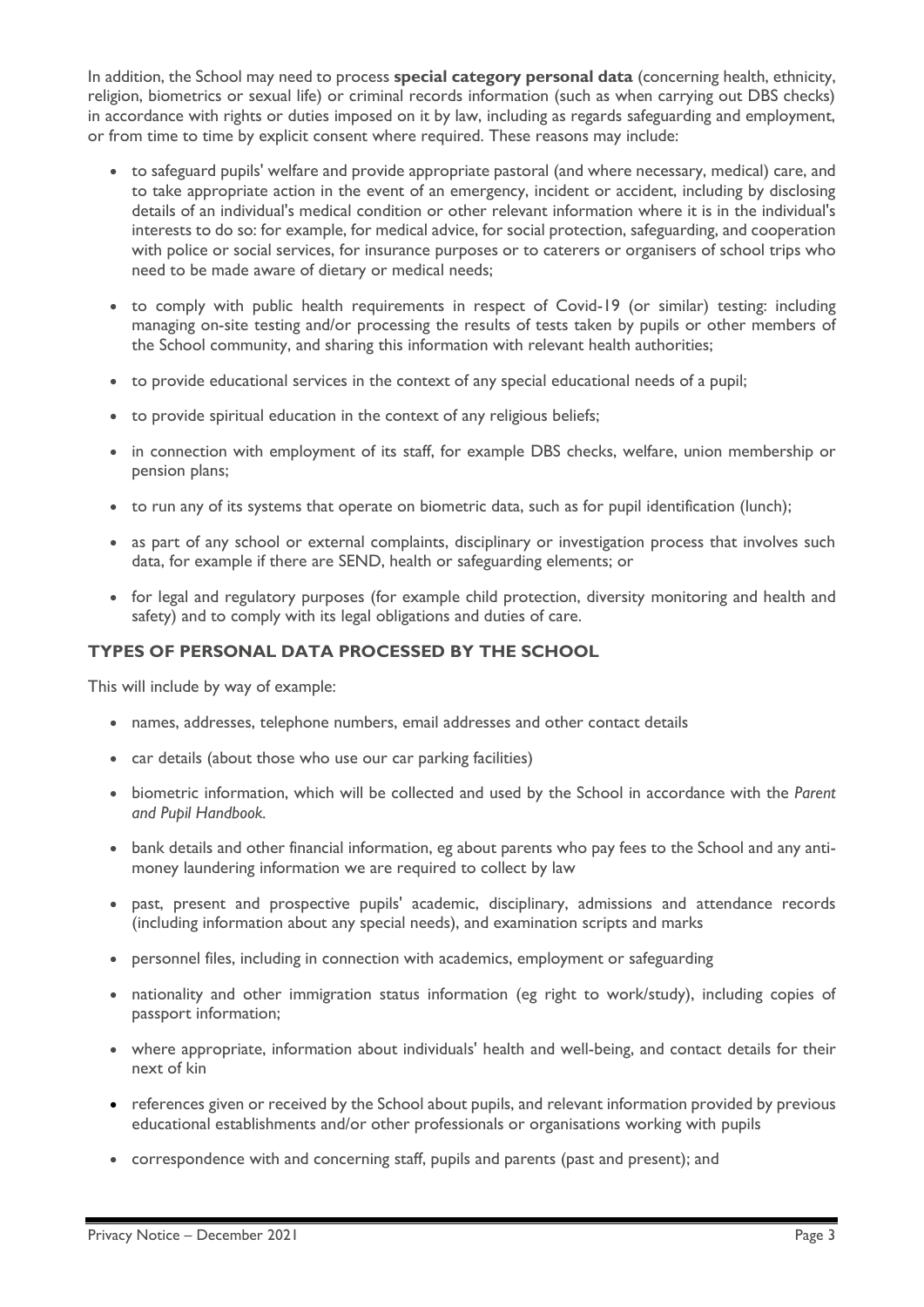In addition, the School may need to process **special category personal data** (concerning health, ethnicity, religion, biometrics or sexual life) or criminal records information (such as when carrying out DBS checks) in accordance with rights or duties imposed on it by law, including as regards safeguarding and employment, or from time to time by explicit consent where required. These reasons may include:

- to safeguard pupils' welfare and provide appropriate pastoral (and where necessary, medical) care, and to take appropriate action in the event of an emergency, incident or accident, including by disclosing details of an individual's medical condition or other relevant information where it is in the individual's interests to do so: for example, for medical advice, for social protection, safeguarding, and cooperation with police or social services, for insurance purposes or to caterers or organisers of school trips who need to be made aware of dietary or medical needs;
- to comply with public health requirements in respect of Covid-19 (or similar) testing: including managing on-site testing and/or processing the results of tests taken by pupils or other members of the School community, and sharing this information with relevant health authorities;
- to provide educational services in the context of any special educational needs of a pupil;
- to provide spiritual education in the context of any religious beliefs;
- in connection with employment of its staff, for example DBS checks, welfare, union membership or pension plans;
- to run any of its systems that operate on biometric data, such as for pupil identification (lunch);
- as part of any school or external complaints, disciplinary or investigation process that involves such data, for example if there are SEND, health or safeguarding elements; or
- for legal and regulatory purposes (for example child protection, diversity monitoring and health and safety) and to comply with its legal obligations and duties of care.

## **TYPES OF PERSONAL DATA PROCESSED BY THE SCHOOL**

This will include by way of example:

- names, addresses, telephone numbers, email addresses and other contact details
- car details (about those who use our car parking facilities)
- biometric information, which will be collected and used by the School in accordance with the *Parent and Pupil Handbook.*
- bank details and other financial information, eg about parents who pay fees to the School and any antimoney laundering information we are required to collect by law
- past, present and prospective pupils' academic, disciplinary, admissions and attendance records (including information about any special needs), and examination scripts and marks
- personnel files, including in connection with academics, employment or safeguarding
- nationality and other immigration status information (eg right to work/study), including copies of passport information;
- where appropriate, information about individuals' health and well-being, and contact details for their next of kin
- references given or received by the School about pupils, and relevant information provided by previous educational establishments and/or other professionals or organisations working with pupils
- correspondence with and concerning staff, pupils and parents (past and present); and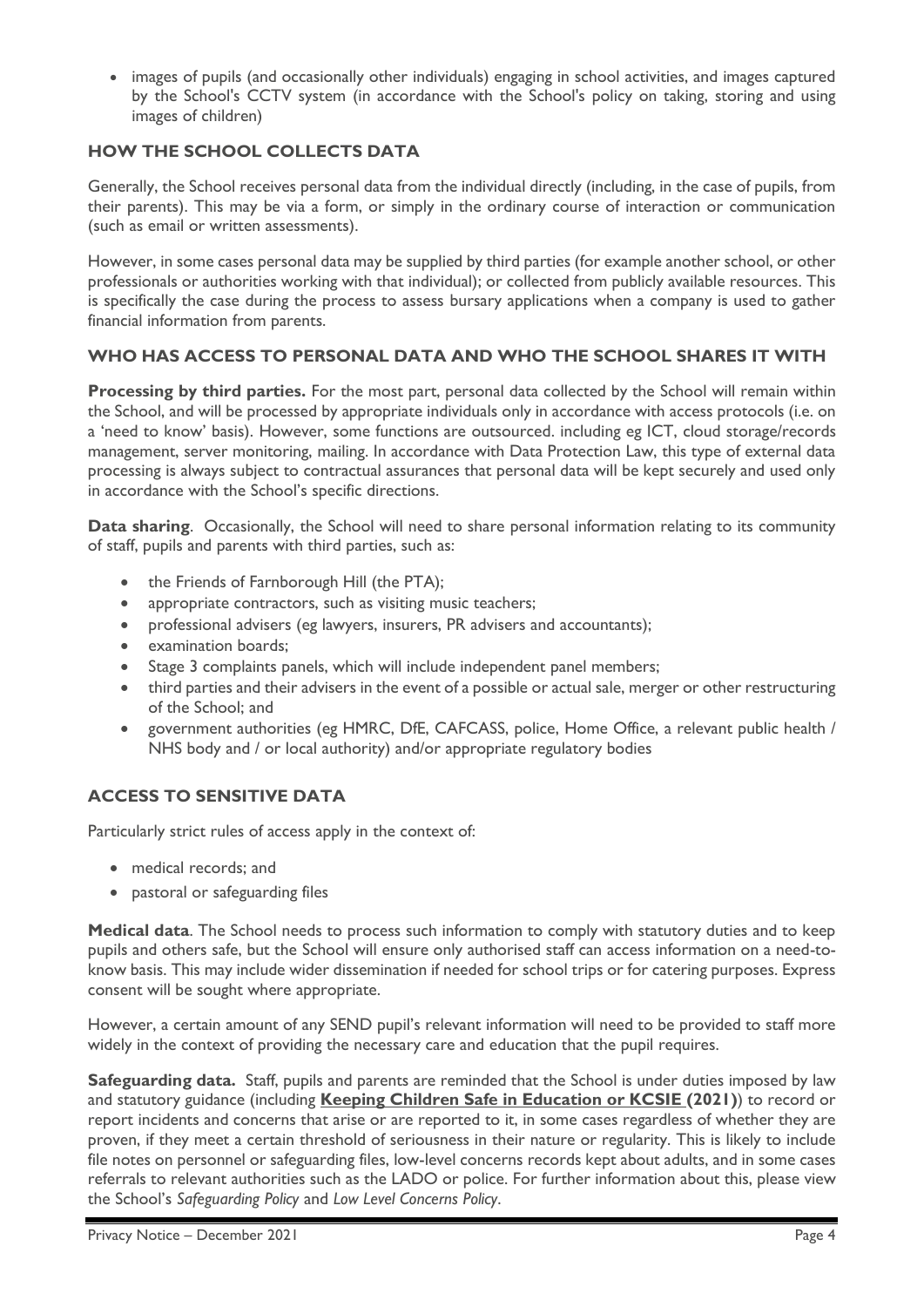• images of pupils (and occasionally other individuals) engaging in school activities, and images captured by the School's CCTV system (in accordance with the School's policy on taking, storing and using images of children)

# **HOW THE SCHOOL COLLECTS DATA**

Generally, the School receives personal data from the individual directly (including, in the case of pupils, from their parents). This may be via a form, or simply in the ordinary course of interaction or communication (such as email or written assessments).

However, in some cases personal data may be supplied by third parties (for example another school, or other professionals or authorities working with that individual); or collected from publicly available resources. This is specifically the case during the process to assess bursary applications when a company is used to gather financial information from parents.

# **WHO HAS ACCESS TO PERSONAL DATA AND WHO THE SCHOOL SHARES IT WITH**

**Processing by third parties.** For the most part, personal data collected by the School will remain within the School, and will be processed by appropriate individuals only in accordance with access protocols (i.e. on a 'need to know' basis). However, some functions are outsourced. including eg ICT, cloud storage/records management, server monitoring, mailing. In accordance with Data Protection Law, this type of external data processing is always subject to contractual assurances that personal data will be kept securely and used only in accordance with the School's specific directions.

**Data sharing**. Occasionally, the School will need to share personal information relating to its community of staff, pupils and parents with third parties, such as:

- the Friends of Farnborough Hill (the PTA);
- appropriate contractors, such as visiting music teachers;
- professional advisers (eg lawyers, insurers, PR advisers and accountants);
- examination boards;
- Stage 3 complaints panels, which will include independent panel members;
- third parties and their advisers in the event of a possible or actual sale, merger or other restructuring of the School; and
- government authorities (eg HMRC, DfE, CAFCASS, police, Home Office, a relevant public health / NHS body and / or local authority) and/or appropriate regulatory bodies

# **ACCESS TO SENSITIVE DATA**

Particularly strict rules of access apply in the context of:

- medical records; and
- pastoral or safeguarding files

**Medical data**. The School needs to process such information to comply with statutory duties and to keep pupils and others safe, but the School will ensure only authorised staff can access information on a need-toknow basis. This may include wider dissemination if needed for school trips or for catering purposes. Express consent will be sought where appropriate.

However, a certain amount of any SEND pupil's relevant information will need to be provided to staff more widely in the context of providing the necessary care and education that the pupil requires.

**Safeguarding data.** Staff, pupils and parents are reminded that the School is under duties imposed by law and statutory guidance (including **[Keeping Children Safe in Education or KCSIE](https://assets.publishing.service.gov.uk/government/uploads/system/uploads/attachment_data/file/954314/Keeping_children_safe_in_education_2020_-_Update_-_January_2021.pdf) (2021)**) to record or report incidents and concerns that arise or are reported to it, in some cases regardless of whether they are proven, if they meet a certain threshold of seriousness in their nature or regularity. This is likely to include file notes on personnel or safeguarding files, low-level concerns records kept about adults, and in some cases referrals to relevant authorities such as the LADO or police. For further information about this, please view the School's *Safeguarding Policy* and *Low Level Concerns Policy*.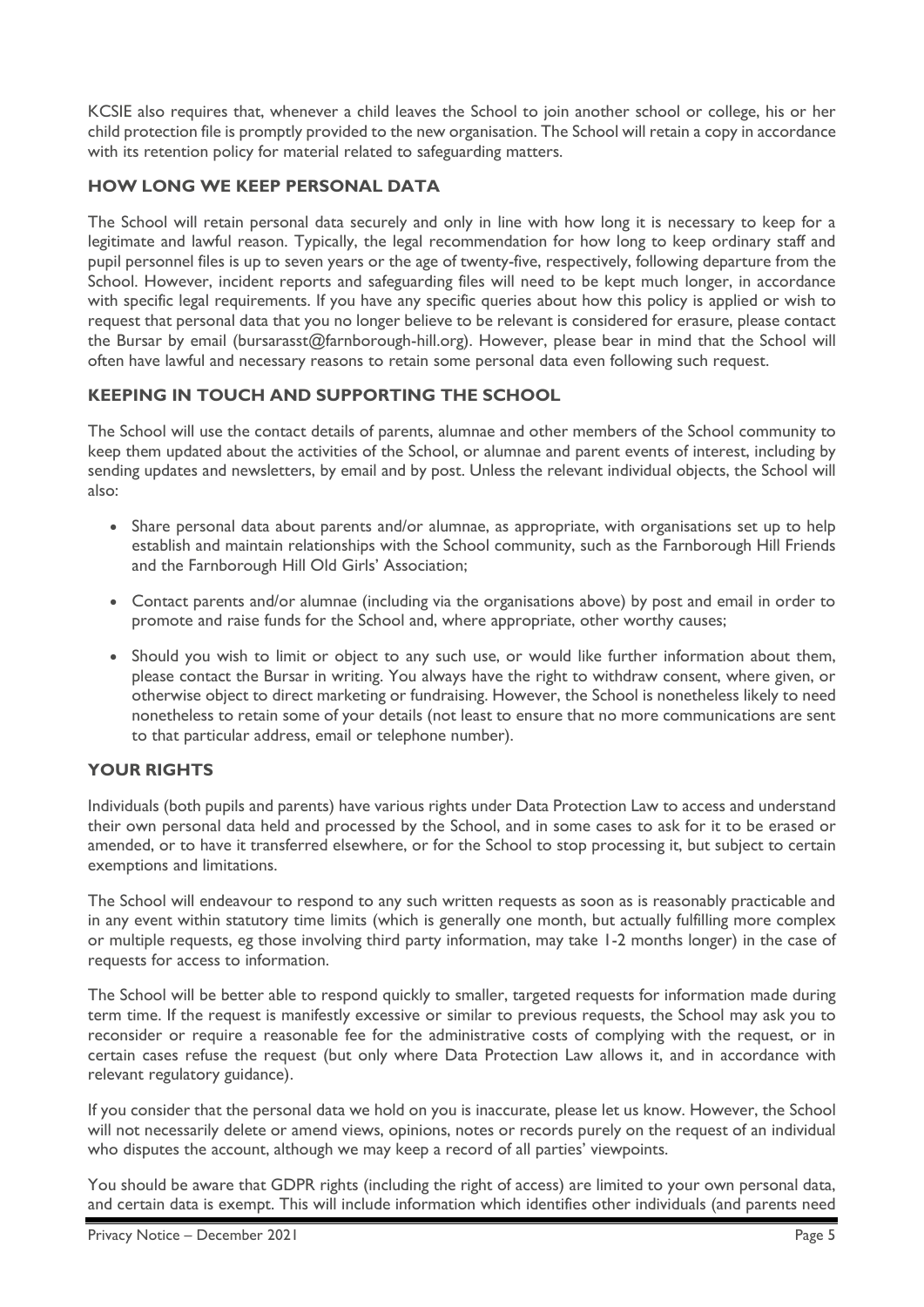KCSIE also requires that, whenever a child leaves the School to join another school or college, his or her child protection file is promptly provided to the new organisation. The School will retain a copy in accordance with its retention policy for material related to safeguarding matters.

# **HOW LONG WE KEEP PERSONAL DATA**

The School will retain personal data securely and only in line with how long it is necessary to keep for a legitimate and lawful reason. Typically, the legal recommendation for how long to keep ordinary staff and pupil personnel files is up to seven years or the age of twenty-five, respectively, following departure from the School. However, incident reports and safeguarding files will need to be kept much longer, in accordance with specific legal requirements. If you have any specific queries about how this policy is applied or wish to request that personal data that you no longer believe to be relevant is considered for erasure, please contact the Bursar by email (bursarasst@farnborough-hill.org). However, please bear in mind that the School will often have lawful and necessary reasons to retain some personal data even following such request.

# **KEEPING IN TOUCH AND SUPPORTING THE SCHOOL**

The School will use the contact details of parents, alumnae and other members of the School community to keep them updated about the activities of the School, or alumnae and parent events of interest, including by sending updates and newsletters, by email and by post. Unless the relevant individual objects, the School will also:

- Share personal data about parents and/or alumnae, as appropriate, with organisations set up to help establish and maintain relationships with the School community, such as the Farnborough Hill Friends and the Farnborough Hill Old Girls' Association;
- Contact parents and/or alumnae (including via the organisations above) by post and email in order to promote and raise funds for the School and, where appropriate, other worthy causes;
- Should you wish to limit or object to any such use, or would like further information about them, please contact the Bursar in writing. You always have the right to withdraw consent, where given, or otherwise object to direct marketing or fundraising. However, the School is nonetheless likely to need nonetheless to retain some of your details (not least to ensure that no more communications are sent to that particular address, email or telephone number).

### **YOUR RIGHTS**

Individuals (both pupils and parents) have various rights under Data Protection Law to access and understand their own personal data held and processed by the School, and in some cases to ask for it to be erased or amended, or to have it transferred elsewhere, or for the School to stop processing it, but subject to certain exemptions and limitations.

The School will endeavour to respond to any such written requests as soon as is reasonably practicable and in any event within statutory time limits (which is generally one month, but actually fulfilling more complex or multiple requests, eg those involving third party information, may take 1-2 months longer) in the case of requests for access to information.

The School will be better able to respond quickly to smaller, targeted requests for information made during term time. If the request is manifestly excessive or similar to previous requests, the School may ask you to reconsider or require a reasonable fee for the administrative costs of complying with the request, or in certain cases refuse the request (but only where Data Protection Law allows it, and in accordance with relevant regulatory guidance).

If you consider that the personal data we hold on you is inaccurate, please let us know. However, the School will not necessarily delete or amend views, opinions, notes or records purely on the request of an individual who disputes the account, although we may keep a record of all parties' viewpoints.

You should be aware that GDPR rights (including the right of access) are limited to your own personal data, and certain data is exempt. This will include information which identifies other individuals (and parents need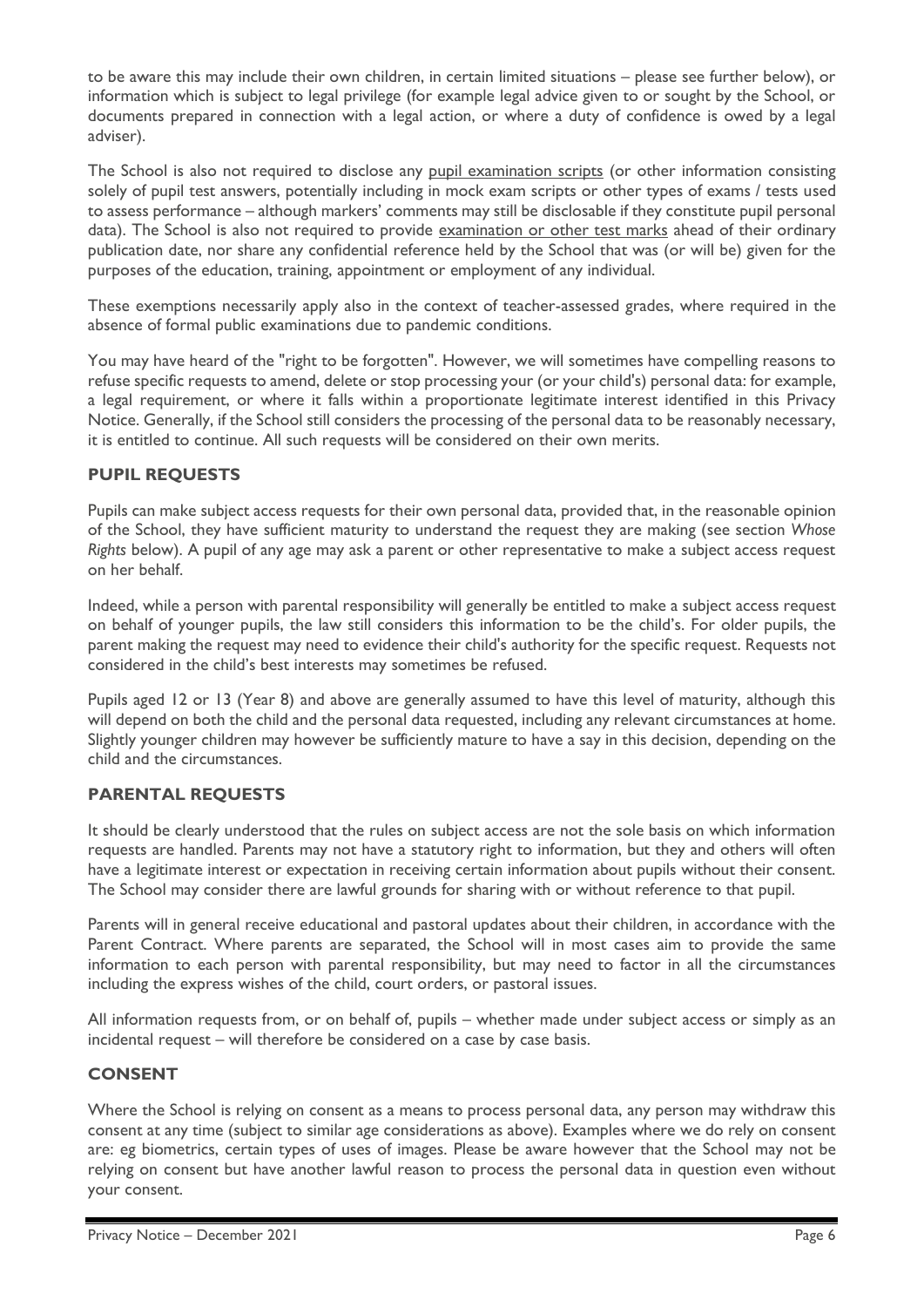to be aware this may include their own children, in certain limited situations – please see further below), or information which is subject to legal privilege (for example legal advice given to or sought by the School, or documents prepared in connection with a legal action, or where a duty of confidence is owed by a legal adviser).

The School is also not required to disclose any pupil examination scripts (or other information consisting solely of pupil test answers, potentially including in mock exam scripts or other types of exams / tests used to assess performance – although markers' comments may still be disclosable if they constitute pupil personal data). The School is also not required to provide examination or other test marks ahead of their ordinary publication date, nor share any confidential reference held by the School that was (or will be) given for the purposes of the education, training, appointment or employment of any individual.

These exemptions necessarily apply also in the context of teacher-assessed grades, where required in the absence of formal public examinations due to pandemic conditions.

You may have heard of the "right to be forgotten". However, we will sometimes have compelling reasons to refuse specific requests to amend, delete or stop processing your (or your child's) personal data: for example, a legal requirement, or where it falls within a proportionate legitimate interest identified in this Privacy Notice. Generally, if the School still considers the processing of the personal data to be reasonably necessary, it is entitled to continue. All such requests will be considered on their own merits.

### **PUPIL REQUESTS**

Pupils can make subject access requests for their own personal data, provided that, in the reasonable opinion of the School, they have sufficient maturity to understand the request they are making (see section *Whose Rights* below). A pupil of any age may ask a parent or other representative to make a subject access request on her behalf.

Indeed, while a person with parental responsibility will generally be entitled to make a subject access request on behalf of younger pupils, the law still considers this information to be the child's. For older pupils, the parent making the request may need to evidence their child's authority for the specific request. Requests not considered in the child's best interests may sometimes be refused.

Pupils aged 12 or 13 (Year 8) and above are generally assumed to have this level of maturity, although this will depend on both the child and the personal data requested, including any relevant circumstances at home. Slightly younger children may however be sufficiently mature to have a say in this decision, depending on the child and the circumstances.

### **PARENTAL REQUESTS**

It should be clearly understood that the rules on subject access are not the sole basis on which information requests are handled. Parents may not have a statutory right to information, but they and others will often have a legitimate interest or expectation in receiving certain information about pupils without their consent. The School may consider there are lawful grounds for sharing with or without reference to that pupil.

Parents will in general receive educational and pastoral updates about their children, in accordance with the Parent Contract. Where parents are separated, the School will in most cases aim to provide the same information to each person with parental responsibility, but may need to factor in all the circumstances including the express wishes of the child, court orders, or pastoral issues.

All information requests from, or on behalf of, pupils – whether made under subject access or simply as an incidental request – will therefore be considered on a case by case basis.

### **CONSENT**

Where the School is relying on consent as a means to process personal data, any person may withdraw this consent at any time (subject to similar age considerations as above). Examples where we do rely on consent are: eg biometrics, certain types of uses of images. Please be aware however that the School may not be relying on consent but have another lawful reason to process the personal data in question even without your consent.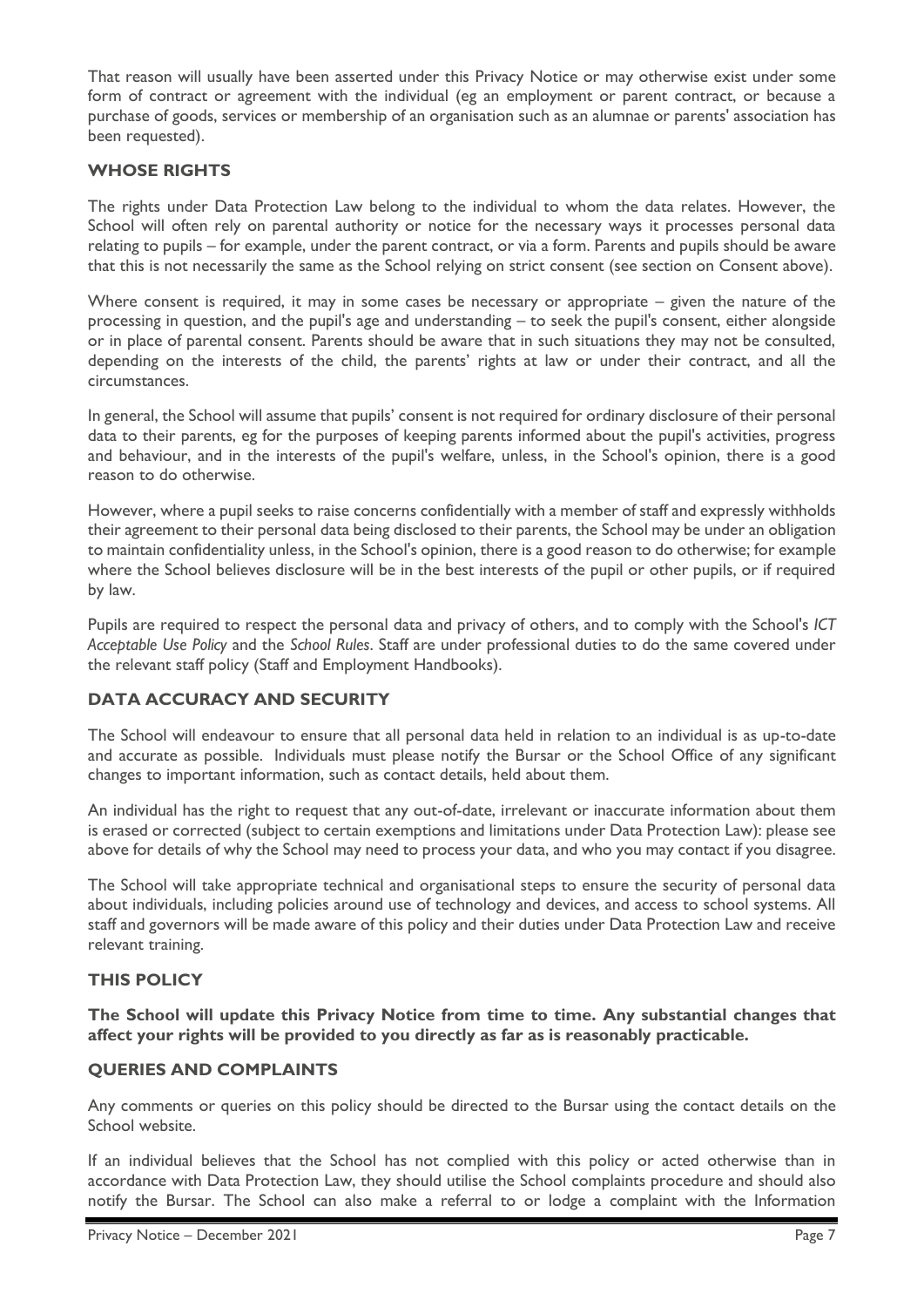That reason will usually have been asserted under this Privacy Notice or may otherwise exist under some form of contract or agreement with the individual (eg an employment or parent contract, or because a purchase of goods, services or membership of an organisation such as an alumnae or parents' association has been requested).

## **WHOSE RIGHTS**

The rights under Data Protection Law belong to the individual to whom the data relates. However, the School will often rely on parental authority or notice for the necessary ways it processes personal data relating to pupils – for example, under the parent contract, or via a form. Parents and pupils should be aware that this is not necessarily the same as the School relying on strict consent (see section on Consent above).

Where consent is required, it may in some cases be necessary or appropriate – given the nature of the processing in question, and the pupil's age and understanding – to seek the pupil's consent, either alongside or in place of parental consent. Parents should be aware that in such situations they may not be consulted, depending on the interests of the child, the parents' rights at law or under their contract, and all the circumstances.

In general, the School will assume that pupils' consent is not required for ordinary disclosure of their personal data to their parents, eg for the purposes of keeping parents informed about the pupil's activities, progress and behaviour, and in the interests of the pupil's welfare, unless, in the School's opinion, there is a good reason to do otherwise.

However, where a pupil seeks to raise concerns confidentially with a member of staff and expressly withholds their agreement to their personal data being disclosed to their parents, the School may be under an obligation to maintain confidentiality unless, in the School's opinion, there is a good reason to do otherwise; for example where the School believes disclosure will be in the best interests of the pupil or other pupils, or if required by law.

Pupils are required to respect the personal data and privacy of others, and to comply with the School's *ICT Acceptable Use Policy* and the *School Rules*. Staff are under professional duties to do the same covered under the relevant staff policy (Staff and Employment Handbooks).

# **DATA ACCURACY AND SECURITY**

The School will endeavour to ensure that all personal data held in relation to an individual is as up-to-date and accurate as possible. Individuals must please notify the Bursar or the School Office of any significant changes to important information, such as contact details, held about them.

An individual has the right to request that any out-of-date, irrelevant or inaccurate information about them is erased or corrected (subject to certain exemptions and limitations under Data Protection Law): please see above for details of why the School may need to process your data, and who you may contact if you disagree.

The School will take appropriate technical and organisational steps to ensure the security of personal data about individuals, including policies around use of technology and devices, and access to school systems. All staff and governors will be made aware of this policy and their duties under Data Protection Law and receive relevant training.

### **THIS POLICY**

**The School will update this Privacy Notice from time to time. Any substantial changes that affect your rights will be provided to you directly as far as is reasonably practicable.**

## **QUERIES AND COMPLAINTS**

Any comments or queries on this policy should be directed to the Bursar using the contact details on the School website.

If an individual believes that the School has not complied with this policy or acted otherwise than in accordance with Data Protection Law, they should utilise the School complaints procedure and should also notify the Bursar. The School can also make a referral to or lodge a complaint with the Information